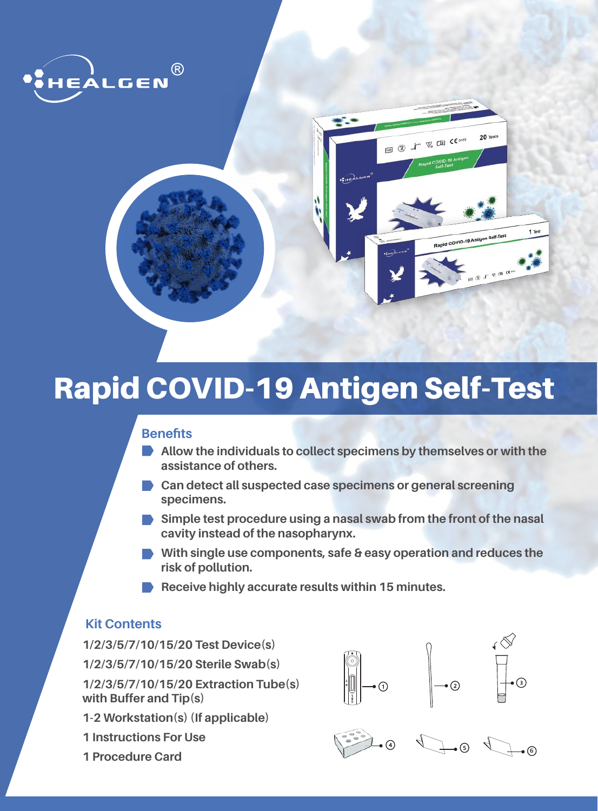



# Rapid COVID-19 Antigen Self-Test

## **Benefits**

- **Allow the individuals to collect specimens by themselves or with the assistance of others.**
- **Can detect all suspected case specimens or general screening specimens.**
- **Simple test procedure using a nasal swab from the front of the nasal cavity instead of the nasopharynx.**
- **With single use components, safe & easy operation and reduces the risk of pollution.**
- **Receive highly accurate results within 15 minutes.**

## **Kit Contents**

**1/2/3/5/7/10/15/20 Test Device(s) 1/2/3/5/7/10/15/20 Sterile Swab(s) 1/2/3/5/7/10/15/20 Extraction Tube(s) with Buffer and Tip(s) 1-2 Workstation(s) (If applicable)**

- **1 Instructions For Use**
- **1 Procedure Card**